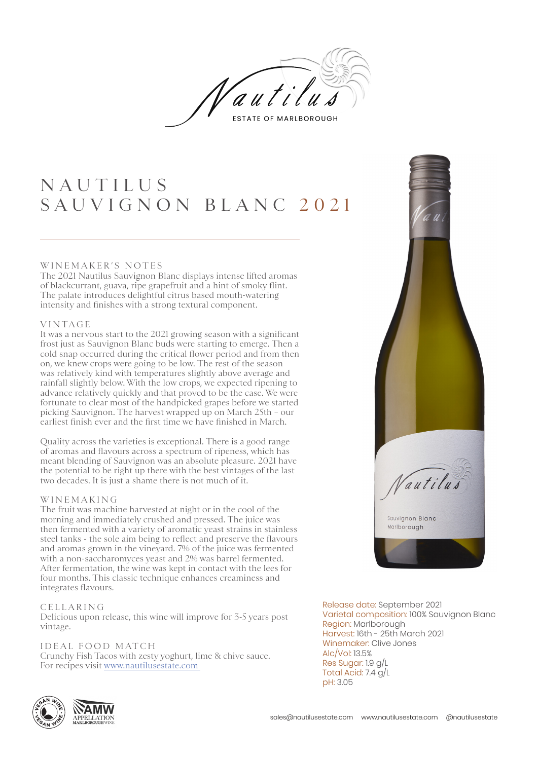

## N A U T I L U S SAUVIGNON BLANC 2021

#### WINEMAKER'S NOTES

The 2021 Nautilus Sauvignon Blanc displays intense lifted aromas of blackcurrant, guava, ripe grapefruit and a hint of smoky flint. The palate introduces delightful citrus based mouth-watering intensity and finishes with a strong textural component.

#### VINTAGE

It was a nervous start to the 2021 growing season with a significant frost just as Sauvignon Blanc buds were starting to emerge. Then a cold snap occurred during the critical flower period and from then on, we knew crops were going to be low. The rest of the season was relatively kind with temperatures slightly above average and rainfall slightly below. With the low crops, we expected ripening to advance relatively quickly and that proved to be the case. We were fortunate to clear most of the handpicked grapes before we started picking Sauvignon. The harvest wrapped up on March 25th – our earliest finish ever and the first time we have finished in March.

Quality across the varieties is exceptional. There is a good range of aromas and flavours across a spectrum of ripeness, which has meant blending of Sauvignon was an absolute pleasure. 2021 have the potential to be right up there with the best vintages of the last two decades. It is just a shame there is not much of it.

#### W I N E M A K I N G

The fruit was machine harvested at night or in the cool of the morning and immediately crushed and pressed. The juice was then fermented with a variety of aromatic yeast strains in stainless steel tanks - the sole aim being to reflect and preserve the flavours and aromas grown in the vineyard. 7% of the juice was fermented with a non-saccharomyces yeast and 2% was barrel fermented. After fermentation, the wine was kept in contact with the lees for four months. This classic technique enhances creaminess and integrates flavours.

#### CELLARING

Delicious upon release, this wine will improve for 3-5 years post vintage.

### IDEAL FOOD MATCH

Crunchy Fish Tacos with zesty yoghurt, lime & chive sauce. For recipes visit www.nautilusestate.com





pH: 3.05